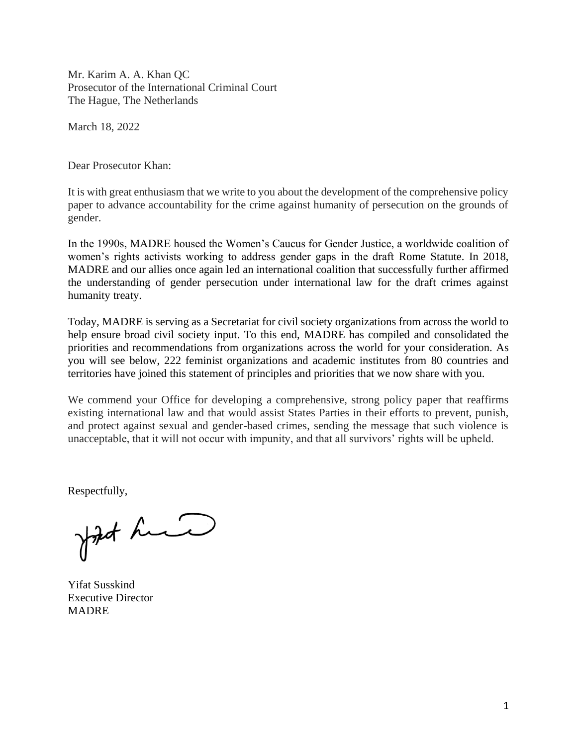Mr. Karim A. A. Khan QC Prosecutor of the International Criminal Court The Hague, The Netherlands

March 18, 2022

Dear Prosecutor Khan:

It is with great enthusiasm that we write to you about the development of the comprehensive policy paper to advance accountability for the crime against humanity of persecution on the grounds of gender.

In the 1990s, MADRE housed the Women's Caucus for Gender Justice, a worldwide coalition of women's rights activists working to address gender gaps in the draft Rome Statute. In 2018, MADRE and our allies once again led an international coalition that successfully further affirmed the understanding of gender persecution under international law for the draft crimes against humanity treaty.

Today, MADRE is serving as a Secretariat for civil society organizations from across the world to help ensure broad civil society input. To this end, MADRE has compiled and consolidated the priorities and recommendations from organizations across the world for your consideration. As you will see below, 222 feminist organizations and academic institutes from 80 countries and territories have joined this statement of principles and priorities that we now share with you.

We commend your Office for developing a comprehensive, strong policy paper that reaffirms existing international law and that would assist States Parties in their efforts to prevent, punish, and protect against sexual and gender-based crimes, sending the message that such violence is unacceptable, that it will not occur with impunity, and that all survivors' rights will be upheld.

Respectfully,

John hand

Yifat Susskind Executive Director MADRE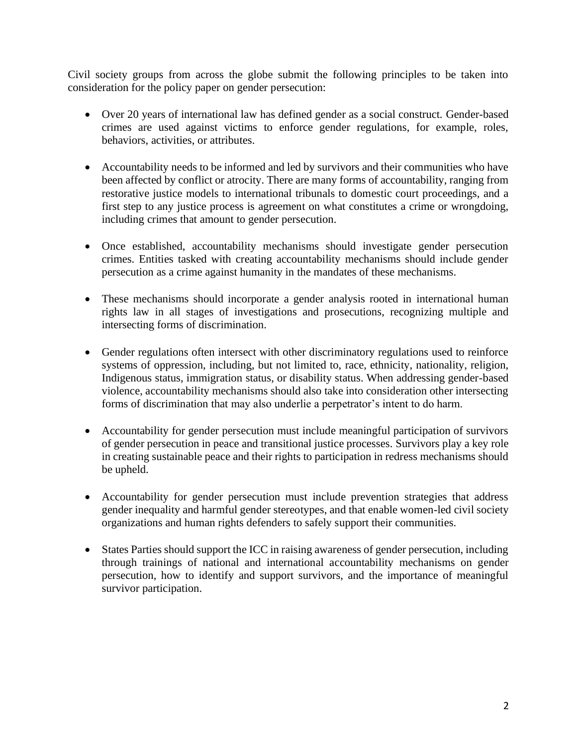Civil society groups from across the globe submit the following principles to be taken into consideration for the policy paper on gender persecution:

- Over 20 years of international law has defined gender as a social construct. Gender-based crimes are used against victims to enforce gender regulations, for example, roles, behaviors, activities, or attributes.
- Accountability needs to be informed and led by survivors and their communities who have been affected by conflict or atrocity. There are many forms of accountability, ranging from restorative justice models to international tribunals to domestic court proceedings, and a first step to any justice process is agreement on what constitutes a crime or wrongdoing, including crimes that amount to gender persecution.
- Once established, accountability mechanisms should investigate gender persecution crimes. Entities tasked with creating accountability mechanisms should include gender persecution as a crime against humanity in the mandates of these mechanisms.
- These mechanisms should incorporate a gender analysis rooted in international human rights law in all stages of investigations and prosecutions, recognizing multiple and intersecting forms of discrimination.
- Gender regulations often intersect with other discriminatory regulations used to reinforce systems of oppression, including, but not limited to, race, ethnicity, nationality, religion, Indigenous status, immigration status, or disability status. When addressing gender-based violence, accountability mechanisms should also take into consideration other intersecting forms of discrimination that may also underlie a perpetrator's intent to do harm.
- Accountability for gender persecution must include meaningful participation of survivors of gender persecution in peace and transitional justice processes. Survivors play a key role in creating sustainable peace and their rights to participation in redress mechanisms should be upheld.
- Accountability for gender persecution must include prevention strategies that address gender inequality and harmful gender stereotypes, and that enable women-led civil society organizations and human rights defenders to safely support their communities.
- States Parties should support the ICC in raising awareness of gender persecution, including through trainings of national and international accountability mechanisms on gender persecution, how to identify and support survivors, and the importance of meaningful survivor participation.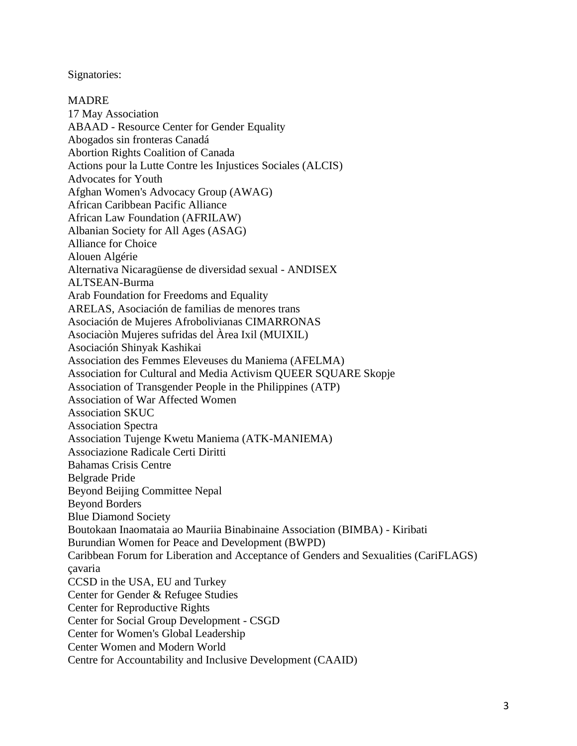## Signatories:

MADRE 17 May Association ABAAD - Resource Center for Gender Equality Abogados sin fronteras Canadá Abortion Rights Coalition of Canada Actions pour la Lutte Contre les Injustices Sociales (ALCIS) Advocates for Youth Afghan Women's Advocacy Group (AWAG) African Caribbean Pacific Alliance African Law Foundation (AFRILAW) Albanian Society for All Ages (ASAG) Alliance for Choice Alouen Algérie Alternativa Nicaragüense de diversidad sexual - ANDISEX ALTSEAN-Burma Arab Foundation for Freedoms and Equality ARELAS, Asociación de familias de menores trans Asociación de Mujeres Afrobolivianas CIMARRONAS Asociaciòn Mujeres sufridas del Àrea Ixil (MUIXIL) Asociación Shinyak Kashikai Association des Femmes Eleveuses du Maniema (AFELMA) Association for Cultural and Media Activism QUEER SQUARE Skopje Association of Transgender People in the Philippines (ATP) Association of War Affected Women Association SKUC Association Spectra Association Tujenge Kwetu Maniema (ATK-MANIEMA) Associazione Radicale Certi Diritti Bahamas Crisis Centre Belgrade Pride Beyond Beijing Committee Nepal Beyond Borders Blue Diamond Society Boutokaan Inaomataia ao Mauriia Binabinaine Association (BIMBA) - Kiribati Burundian Women for Peace and Development (BWPD) Caribbean Forum for Liberation and Acceptance of Genders and Sexualities (CariFLAGS) çavaria CCSD in the USA, EU and Turkey Center for Gender & Refugee Studies Center for Reproductive Rights Center for Social Group Development - CSGD Center for Women's Global Leadership Center Women and Modern World Centre for Accountability and Inclusive Development (CAAID)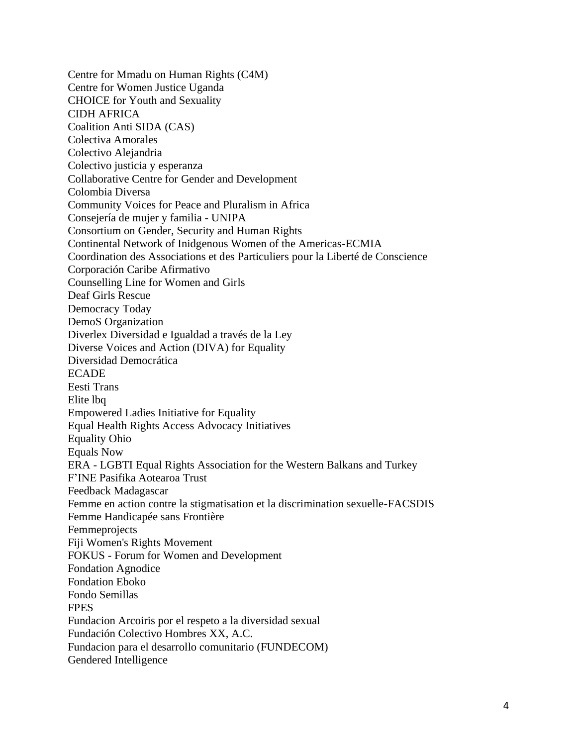Centre for Mmadu on Human Rights (C4M) Centre for Women Justice Uganda CHOICE for Youth and Sexuality CIDH AFRICA Coalition Anti SIDA (CAS) Colectiva Amorales Colectivo Alejandria Colectivo justicia y esperanza Collaborative Centre for Gender and Development Colombia Diversa Community Voices for Peace and Pluralism in Africa Consejería de mujer y familia - UNIPA Consortium on Gender, Security and Human Rights Continental Network of Inidgenous Women of the Americas-ECMIA Coordination des Associations et des Particuliers pour la Liberté de Conscience Corporación Caribe Afirmativo Counselling Line for Women and Girls Deaf Girls Rescue Democracy Today DemoS Organization Diverlex Diversidad e Igualdad a través de la Ley Diverse Voices and Action (DIVA) for Equality Diversidad Democrática ECADE Eesti Trans Elite lbq Empowered Ladies Initiative for Equality Equal Health Rights Access Advocacy Initiatives Equality Ohio Equals Now ERA - LGBTI Equal Rights Association for the Western Balkans and Turkey F'INE Pasifika Aotearoa Trust Feedback Madagascar Femme en action contre la stigmatisation et la discrimination sexuelle-FACSDIS Femme Handicapée sans Frontière Femmeprojects Fiji Women's Rights Movement FOKUS - Forum for Women and Development Fondation Agnodice Fondation Eboko Fondo Semillas FPES Fundacion Arcoiris por el respeto a la diversidad sexual Fundación Colectivo Hombres XX, A.C. Fundacion para el desarrollo comunitario (FUNDECOM) Gendered Intelligence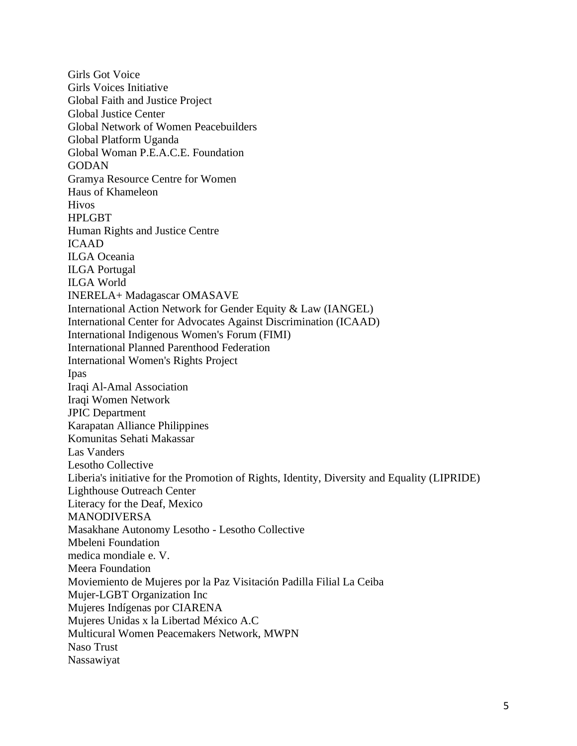Girls Got Voice Girls Voices Initiative Global Faith and Justice Project Global Justice Center Global Network of Women Peacebuilders Global Platform Uganda Global Woman P.E.A.C.E. Foundation **GODAN** Gramya Resource Centre for Women Haus of Khameleon Hivos HPLGBT Human Rights and Justice Centre ICAAD ILGA Oceania ILGA Portugal ILGA World INERELA+ Madagascar OMASAVE International Action Network for Gender Equity & Law (IANGEL) International Center for Advocates Against Discrimination (ICAAD) International Indigenous Women's Forum (FIMI) International Planned Parenthood Federation International Women's Rights Project Ipas Iraqi Al-Amal Association Iraqi Women Network JPIC Department Karapatan Alliance Philippines Komunitas Sehati Makassar Las Vanders Lesotho Collective Liberia's initiative for the Promotion of Rights, Identity, Diversity and Equality (LIPRIDE) Lighthouse Outreach Center Literacy for the Deaf, Mexico MANODIVERSA Masakhane Autonomy Lesotho - Lesotho Collective Mbeleni Foundation medica mondiale e. V. Meera Foundation Moviemiento de Mujeres por la Paz Visitación Padilla Filial La Ceiba Mujer-LGBT Organization Inc Mujeres Indígenas por CIARENA Mujeres Unidas x la Libertad México A.C Multicural Women Peacemakers Network, MWPN Naso Trust Nassawiyat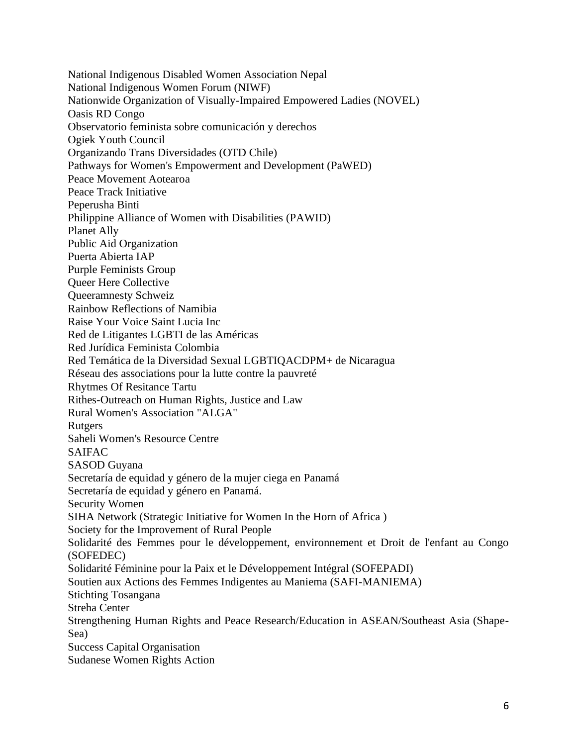National Indigenous Disabled Women Association Nepal National Indigenous Women Forum (NIWF) Nationwide Organization of Visually-Impaired Empowered Ladies (NOVEL) Oasis RD Congo Observatorio feminista sobre comunicación y derechos Ogiek Youth Council Organizando Trans Diversidades (OTD Chile) Pathways for Women's Empowerment and Development (PaWED) Peace Movement Aotearoa Peace Track Initiative Peperusha Binti Philippine Alliance of Women with Disabilities (PAWID) Planet Ally Public Aid Organization Puerta Abierta IAP Purple Feminists Group Queer Here Collective Queeramnesty Schweiz Rainbow Reflections of Namibia Raise Your Voice Saint Lucia Inc Red de Litigantes LGBTI de las Américas Red Jurídica Feminista Colombia Red Temática de la Diversidad Sexual LGBTIQACDPM+ de Nicaragua Réseau des associations pour la lutte contre la pauvreté Rhytmes Of Resitance Tartu Rithes-Outreach on Human Rights, Justice and Law Rural Women's Association "ALGA" **Rutgers** Saheli Women's Resource Centre SAIFAC SASOD Guyana Secretaría de equidad y género de la mujer ciega en Panamá Secretaría de equidad y género en Panamá. Security Women SIHA Network (Strategic Initiative for Women In the Horn of Africa ) Society for the Improvement of Rural People Solidarité des Femmes pour le développement, environnement et Droit de l'enfant au Congo (SOFEDEC) Solidarité Féminine pour la Paix et le Développement Intégral (SOFEPADI) Soutien aux Actions des Femmes Indigentes au Maniema (SAFI-MANIEMA) Stichting Tosangana Streha Center Strengthening Human Rights and Peace Research/Education in ASEAN/Southeast Asia (Shape-Sea) Success Capital Organisation Sudanese Women Rights Action